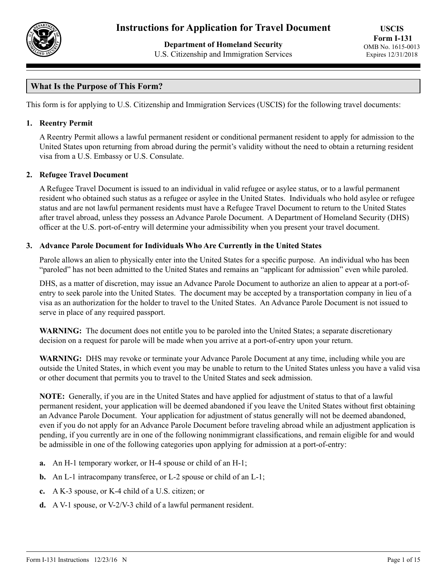

**Department of Homeland Security** U.S. Citizenship and Immigration Services

# **What Is the Purpose of This Form?**

This form is for applying to U.S. Citizenship and Immigration Services (USCIS) for the following travel documents:

#### **1. Reentry Permit**

A Reentry Permit allows a lawful permanent resident or conditional permanent resident to apply for admission to the United States upon returning from abroad during the permit's validity without the need to obtain a returning resident visa from a U.S. Embassy or U.S. Consulate.

### **2. Refugee Travel Document**

A Refugee Travel Document is issued to an individual in valid refugee or asylee status, or to a lawful permanent resident who obtained such status as a refugee or asylee in the United States. Individuals who hold asylee or refugee status and are not lawful permanent residents must have a Refugee Travel Document to return to the United States after travel abroad, unless they possess an Advance Parole Document. A Department of Homeland Security (DHS) officer at the U.S. port-of-entry will determine your admissibility when you present your travel document.

### **3. Advance Parole Document for Individuals Who Are Currently in the United States**

Parole allows an alien to physically enter into the United States for a specific purpose. An individual who has been "paroled" has not been admitted to the United States and remains an "applicant for admission" even while paroled.

DHS, as a matter of discretion, may issue an Advance Parole Document to authorize an alien to appear at a port-ofentry to seek parole into the United States. The document may be accepted by a transportation company in lieu of a visa as an authorization for the holder to travel to the United States. An Advance Parole Document is not issued to serve in place of any required passport.

**WARNING:** The document does not entitle you to be paroled into the United States; a separate discretionary decision on a request for parole will be made when you arrive at a port-of-entry upon your return.

**WARNING:** DHS may revoke or terminate your Advance Parole Document at any time, including while you are outside the United States, in which event you may be unable to return to the United States unless you have a valid visa or other document that permits you to travel to the United States and seek admission.

**NOTE:** Generally, if you are in the United States and have applied for adjustment of status to that of a lawful permanent resident, your application will be deemed abandoned if you leave the United States without first obtaining an Advance Parole Document. Your application for adjustment of status generally will not be deemed abandoned, even if you do not apply for an Advance Parole Document before traveling abroad while an adjustment application is pending, if you currently are in one of the following nonimmigrant classifications, and remain eligible for and would be admissible in one of the following categories upon applying for admission at a port-of-entry:

- **a.** An H-1 temporary worker, or H-4 spouse or child of an H-1;
- **b.** An L-1 intracompany transferee, or L-2 spouse or child of an L-1;
- **c.** A K-3 spouse, or K-4 child of a U.S. citizen; or
- **d.** A V-1 spouse, or V-2/V-3 child of a lawful permanent resident.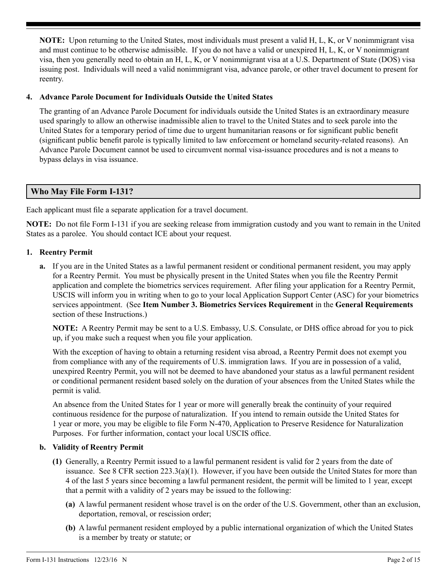**NOTE:** Upon returning to the United States, most individuals must present a valid H, L, K, or V nonimmigrant visa and must continue to be otherwise admissible. If you do not have a valid or unexpired H, L, K, or V nonimmigrant visa, then you generally need to obtain an H, L, K, or V nonimmigrant visa at a U.S. Department of State (DOS) visa issuing post. Individuals will need a valid nonimmigrant visa, advance parole, or other travel document to present for reentry.

### **4. Advance Parole Document for Individuals Outside the United States**

The granting of an Advance Parole Document for individuals outside the United States is an extraordinary measure used sparingly to allow an otherwise inadmissible alien to travel to the United States and to seek parole into the United States for a temporary period of time due to urgent humanitarian reasons or for significant public benefit (significant public benefit parole is typically limited to law enforcement or homeland security-related reasons). An Advance Parole Document cannot be used to circumvent normal visa-issuance procedures and is not a means to bypass delays in visa issuance.

## **Who May File Form I-131?**

Each applicant must file a separate application for a travel document.

**NOTE:** Do not file Form I-131 if you are seeking release from immigration custody and you want to remain in the United States as a parolee. You should contact ICE about your request.

### **1. Reentry Permit**

**a.** If you are in the United States as a lawful permanent resident or conditional permanent resident, you may apply for a Reentry Permit. You must be physically present in the United States when you file the Reentry Permit application and complete the biometrics services requirement. After filing your application for a Reentry Permit, USCIS will inform you in writing when to go to your local Application Support Center (ASC) for your biometrics services appointment. (See **Item Number 3. Biometrics Services Requirement** in the **General Requirements** section of these Instructions.)

**NOTE:** A Reentry Permit may be sent to a U.S. Embassy, U.S. Consulate, or DHS office abroad for you to pick up, if you make such a request when you file your application.

With the exception of having to obtain a returning resident visa abroad, a Reentry Permit does not exempt you from compliance with any of the requirements of U.S. immigration laws. If you are in possession of a valid, unexpired Reentry Permit, you will not be deemed to have abandoned your status as a lawful permanent resident or conditional permanent resident based solely on the duration of your absences from the United States while the permit is valid.

An absence from the United States for 1 year or more will generally break the continuity of your required continuous residence for the purpose of naturalization. If you intend to remain outside the United States for 1 year or more, you may be eligible to file Form N-470, Application to Preserve Residence for Naturalization Purposes. For further information, contact your local USCIS office.

## **b. Validity of Reentry Permit**

- **(1)** Generally, a Reentry Permit issued to a lawful permanent resident is valid for 2 years from the date of issuance. See 8 CFR section  $223.3(a)(1)$ . However, if you have been outside the United States for more than 4 of the last 5 years since becoming a lawful permanent resident, the permit will be limited to 1 year, except that a permit with a validity of 2 years may be issued to the following:
	- **(a)** A lawful permanent resident whose travel is on the order of the U.S. Government, other than an exclusion, deportation, removal, or rescission order;
	- **(b)** A lawful permanent resident employed by a public international organization of which the United States is a member by treaty or statute; or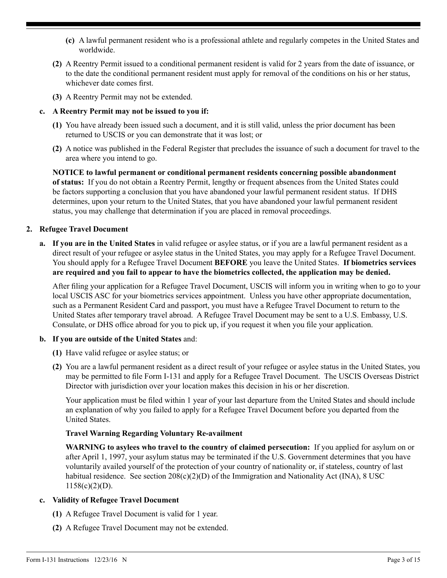- **(c)** A lawful permanent resident who is a professional athlete and regularly competes in the United States and worldwide.
- **(2)** A Reentry Permit issued to a conditional permanent resident is valid for 2 years from the date of issuance, or to the date the conditional permanent resident must apply for removal of the conditions on his or her status, whichever date comes first.
- **(3)** A Reentry Permit may not be extended.

### **c. A Reentry Permit may not be issued to you if:**

- **(1)** You have already been issued such a document, and it is still valid, unless the prior document has been returned to USCIS or you can demonstrate that it was lost; or
- **(2)** A notice was published in the Federal Register that precludes the issuance of such a document for travel to the area where you intend to go.

**NOTICE to lawful permanent or conditional permanent residents concerning possible abandonment of status:** If you do not obtain a Reentry Permit, lengthy or frequent absences from the United States could be factors supporting a conclusion that you have abandoned your lawful permanent resident status. If DHS determines, upon your return to the United States, that you have abandoned your lawful permanent resident status, you may challenge that determination if you are placed in removal proceedings.

### **2. Refugee Travel Document**

**a. If you are in the United States** in valid refugee or asylee status, or if you are a lawful permanent resident as a direct result of your refugee or asylee status in the United States, you may apply for a Refugee Travel Document. You should apply for a Refugee Travel Document **BEFORE** you leave the United States. **If biometrics services are required and you fail to appear to have the biometrics collected, the application may be denied.**

After filing your application for a Refugee Travel Document, USCIS will inform you in writing when to go to your local USCIS ASC for your biometrics services appointment. Unless you have other appropriate documentation, such as a Permanent Resident Card and passport, you must have a Refugee Travel Document to return to the United States after temporary travel abroad. A Refugee Travel Document may be sent to a U.S. Embassy, U.S. Consulate, or DHS office abroad for you to pick up, if you request it when you file your application.

#### **b. If you are outside of the United States** and:

- **(1)** Have valid refugee or asylee status; or
- **(2)** You are a lawful permanent resident as a direct result of your refugee or asylee status in the United States, you may be permitted to file Form I-131 and apply for a Refugee Travel Document. The USCIS Overseas District Director with jurisdiction over your location makes this decision in his or her discretion.

Your application must be filed within 1 year of your last departure from the United States and should include an explanation of why you failed to apply for a Refugee Travel Document before you departed from the United States.

## **Travel Warning Regarding Voluntary Re-availment**

**WARNING to asylees who travel to the country of claimed persecution:** If you applied for asylum on or after April 1, 1997, your asylum status may be terminated if the U.S. Government determines that you have voluntarily availed yourself of the protection of your country of nationality or, if stateless, country of last habitual residence. See section  $208(c)(2)(D)$  of the Immigration and Nationality Act (INA), 8 USC  $1158(c)(2)(D)$ .

## **c. Validity of Refugee Travel Document**

- **(1)** A Refugee Travel Document is valid for 1 year.
- **(2)** A Refugee Travel Document may not be extended.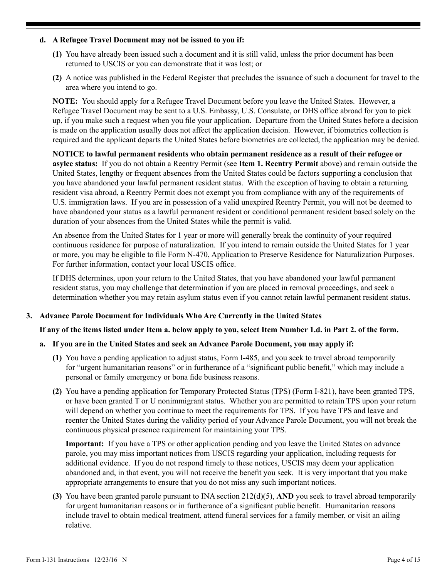#### **d. A Refugee Travel Document may not be issued to you if:**

- **(1)** You have already been issued such a document and it is still valid, unless the prior document has been returned to USCIS or you can demonstrate that it was lost; or
- **(2)** A notice was published in the Federal Register that precludes the issuance of such a document for travel to the area where you intend to go.

**NOTE:** You should apply for a Refugee Travel Document before you leave the United States. However, a Refugee Travel Document may be sent to a U.S. Embassy, U.S. Consulate, or DHS office abroad for you to pick up, if you make such a request when you file your application. Departure from the United States before a decision is made on the application usually does not affect the application decision. However, if biometrics collection is required and the applicant departs the United States before biometrics are collected, the application may be denied.

**NOTICE to lawful permanent residents who obtain permanent residence as a result of their refugee or asylee status:** If you do not obtain a Reentry Permit (see **Item 1. Reentry Permit** above) and remain outside the United States, lengthy or frequent absences from the United States could be factors supporting a conclusion that you have abandoned your lawful permanent resident status. With the exception of having to obtain a returning resident visa abroad, a Reentry Permit does not exempt you from compliance with any of the requirements of U.S. immigration laws. If you are in possession of a valid unexpired Reentry Permit, you will not be deemed to have abandoned your status as a lawful permanent resident or conditional permanent resident based solely on the duration of your absences from the United States while the permit is valid.

An absence from the United States for 1 year or more will generally break the continuity of your required continuous residence for purpose of naturalization. If you intend to remain outside the United States for 1 year or more, you may be eligible to file Form N-470, Application to Preserve Residence for Naturalization Purposes. For further information, contact your local USCIS office.

If DHS determines, upon your return to the United States, that you have abandoned your lawful permanent resident status, you may challenge that determination if you are placed in removal proceedings, and seek a determination whether you may retain asylum status even if you cannot retain lawful permanent resident status.

## **3. Advance Parole Document for Individuals Who Are Currently in the United States**

#### **If any of the items listed under Item a. below apply to you, select Item Number 1.d. in Part 2. of the form.**

## **a. If you are in the United States and seek an Advance Parole Document, you may apply if:**

- **(1)** You have a pending application to adjust status, Form I-485, and you seek to travel abroad temporarily for "urgent humanitarian reasons" or in furtherance of a "significant public benefit," which may include a personal or family emergency or bona fide business reasons.
- **(2)** You have a pending application for Temporary Protected Status (TPS) (Form I-821), have been granted TPS, or have been granted T or U nonimmigrant status. Whether you are permitted to retain TPS upon your return will depend on whether you continue to meet the requirements for TPS. If you have TPS and leave and reenter the United States during the validity period of your Advance Parole Document, you will not break the continuous physical presence requirement for maintaining your TPS.

**Important:** If you have a TPS or other application pending and you leave the United States on advance parole, you may miss important notices from USCIS regarding your application, including requests for additional evidence. If you do not respond timely to these notices, USCIS may deem your application abandoned and, in that event, you will not receive the benefit you seek. It is very important that you make appropriate arrangements to ensure that you do not miss any such important notices.

**(3)** You have been granted parole pursuant to INA section 212(d)(5), **AND** you seek to travel abroad temporarily for urgent humanitarian reasons or in furtherance of a significant public benefit. Humanitarian reasons include travel to obtain medical treatment, attend funeral services for a family member, or visit an ailing relative.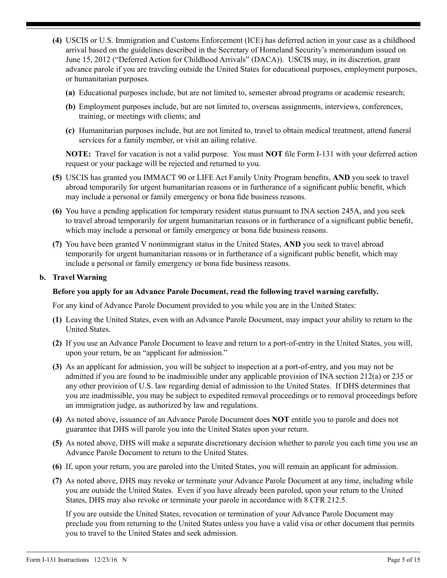- **(4)** USCIS or U.S. Immigration and Customs Enforcement (ICE) has deferred action in your case as a childhood arrival based on the guidelines described in the Secretary of Homeland Security's memorandum issued on June 15, 2012 ("Deferred Action for Childhood Arrivals" (DACA)). USCIS may, in its discretion, grant advance parole if you are traveling outside the United States for educational purposes, employment purposes, or humanitarian purposes.
	- **(a)** Educational purposes include, but are not limited to, semester abroad programs or academic research;
	- **(b)** Employment purposes include, but are not limited to, overseas assignments, interviews, conferences, training, or meetings with clients; and
	- **(c)** Humanitarian purposes include, but are not limited to, travel to obtain medical treatment, attend funeral services for a family member, or visit an ailing relative.

**NOTE:** Travel for vacation is not a valid purpose. You must **NOT** file Form I-131 with your deferred action request or your package will be rejected and returned to you.

- **(5)** USCIS has granted you IMMACT 90 or LIFE Act Family Unity Program benefits, **AND** you seek to travel abroad temporarily for urgent humanitarian reasons or in furtherance of a significant public benefit, which may include a personal or family emergency or bona fide business reasons.
- **(6)** You have a pending application for temporary resident status pursuant to INA section 245A, and you seek to travel abroad temporarily for urgent humanitarian reasons or in furtherance of a significant public benefit, which may include a personal or family emergency or bona fide business reasons.
- **(7)** You have been granted V nonimmigrant status in the United States, **AND** you seek to travel abroad temporarily for urgent humanitarian reasons or in furtherance of a significant public benefit, which may include a personal or family emergency or bona fide business reasons.

### **b. Travel Warning**

#### **Before you apply for an Advance Parole Document, read the following travel warning carefully.**

For any kind of Advance Parole Document provided to you while you are in the United States:

- **(1)** Leaving the United States, even with an Advance Parole Document, may impact your ability to return to the United States.
- **(2)** If you use an Advance Parole Document to leave and return to a port-of-entry in the United States, you will, upon your return, be an "applicant for admission."
- **(3)** As an applicant for admission, you will be subject to inspection at a port-of-entry, and you may not be admitted if you are found to be inadmissible under any applicable provision of INA section 212(a) or 235 or any other provision of U.S. law regarding denial of admission to the United States. If DHS determines that you are inadmissible, you may be subject to expedited removal proceedings or to removal proceedings before an immigration judge, as authorized by law and regulations.
- **(4)** As noted above, issuance of an Advance Parole Document does **NOT** entitle you to parole and does not guarantee that DHS will parole you into the United States upon your return.
- **(5)** As noted above, DHS will make a separate discretionary decision whether to parole you each time you use an Advance Parole Document to return to the United States.
- **(6)** If, upon your return, you are paroled into the United States, you will remain an applicant for admission.
- **(7)** As noted above, DHS may revoke or terminate your Advance Parole Document at any time, including while you are outside the United States. Even if you have already been paroled, upon your return to the United States, DHS may also revoke or terminate your parole in accordance with 8 CFR 212.5.

If you are outside the United States, revocation or termination of your Advance Parole Document may preclude you from returning to the United States unless you have a valid visa or other document that permits you to travel to the United States and seek admission.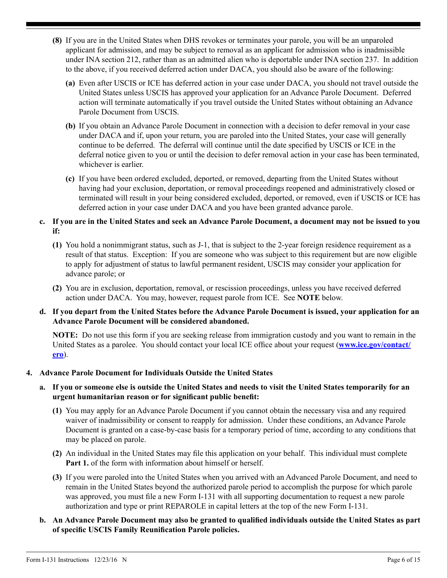- **(8)** If you are in the United States when DHS revokes or terminates your parole, you will be an unparoled applicant for admission, and may be subject to removal as an applicant for admission who is inadmissible under INA section 212, rather than as an admitted alien who is deportable under INA section 237. In addition to the above, if you received deferred action under DACA, you should also be aware of the following:
	- **(a)** Even after USCIS or ICE has deferred action in your case under DACA, you should not travel outside the United States unless USCIS has approved your application for an Advance Parole Document. Deferred action will terminate automatically if you travel outside the United States without obtaining an Advance Parole Document from USCIS.
	- **(b)** If you obtain an Advance Parole Document in connection with a decision to defer removal in your case under DACA and if, upon your return, you are paroled into the United States, your case will generally continue to be deferred. The deferral will continue until the date specified by USCIS or ICE in the deferral notice given to you or until the decision to defer removal action in your case has been terminated, whichever is earlier.
	- **(c)** If you have been ordered excluded, deported, or removed, departing from the United States without having had your exclusion, deportation, or removal proceedings reopened and administratively closed or terminated will result in your being considered excluded, deported, or removed, even if USCIS or ICE has deferred action in your case under DACA and you have been granted advance parole.
- **c. If you are in the United States and seek an Advance Parole Document, a document may not be issued to you if:** 
	- **(1)** You hold a nonimmigrant status, such as J-1, that is subject to the 2-year foreign residence requirement as a result of that status. Exception: If you are someone who was subject to this requirement but are now eligible to apply for adjustment of status to lawful permanent resident, USCIS may consider your application for advance parole; or
	- **(2)** You are in exclusion, deportation, removal, or rescission proceedings, unless you have received deferred action under DACA. You may, however, request parole from ICE. See **NOTE** below.
- **d. If you depart from the United States before the Advance Parole Document is issued, your application for an Advance Parole Document will be considered abandoned.**

**NOTE:** Do not use this form if you are seeking release from immigration custody and you want to remain in the United States as a parolee. You should contact your local ICE office about your request (**[www.ice.gov/contact/](http://www.ice.gov/contact/ero) [ero](http://www.ice.gov/contact/ero)**).

#### **4. Advance Parole Document for Individuals Outside the United States**

### **a. If you or someone else is outside the United States and needs to visit the United States temporarily for an urgent humanitarian reason or for significant public benefit:**

- **(1)** You may apply for an Advance Parole Document if you cannot obtain the necessary visa and any required waiver of inadmissibility or consent to reapply for admission. Under these conditions, an Advance Parole Document is granted on a case-by-case basis for a temporary period of time, according to any conditions that may be placed on parole.
- **(2)** An individual in the United States may file this application on your behalf. This individual must complete **Part 1.** of the form with information about himself or herself.
- **(3)** If you were paroled into the United States when you arrived with an Advanced Parole Document, and need to remain in the United States beyond the authorized parole period to accomplish the purpose for which parole was approved, you must file a new Form I-131 with all supporting documentation to request a new parole authorization and type or print REPAROLE in capital letters at the top of the new Form I-131.
- **b. An Advance Parole Document may also be granted to qualified individuals outside the United States as part of specific USCIS Family Reunification Parole policies.**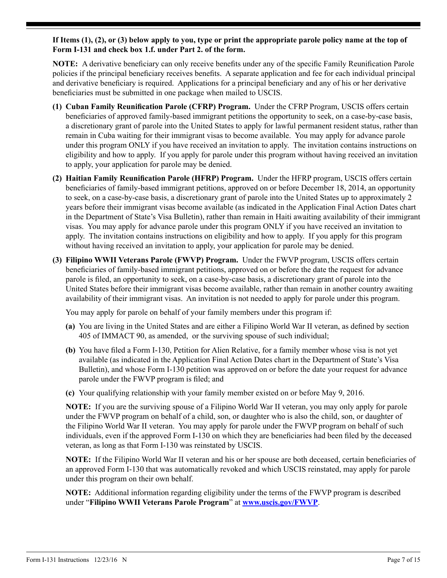**If Items (1), (2), or (3) below apply to you, type or print the appropriate parole policy name at the top of Form I-131 and check box 1.f. under Part 2. of the form.**

**NOTE:** A derivative beneficiary can only receive benefits under any of the specific Family Reunification Parole policies if the principal beneficiary receives benefits. A separate application and fee for each individual principal and derivative beneficiary is required. Applications for a principal beneficiary and any of his or her derivative beneficiaries must be submitted in one package when mailed to USCIS.

- **(1) Cuban Family Reunification Parole (CFRP) Program.** Under the CFRP Program, USCIS offers certain beneficiaries of approved family-based immigrant petitions the opportunity to seek, on a case-by-case basis, a discretionary grant of parole into the United States to apply for lawful permanent resident status, rather than remain in Cuba waiting for their immigrant visas to become available. You may apply for advance parole under this program ONLY if you have received an invitation to apply. The invitation contains instructions on eligibility and how to apply. If you apply for parole under this program without having received an invitation to apply, your application for parole may be denied.
- **(2) Haitian Family Reunification Parole (HFRP) Program.** Under the HFRP program, USCIS offers certain beneficiaries of family-based immigrant petitions, approved on or before December 18, 2014, an opportunity to seek, on a case-by-case basis, a discretionary grant of parole into the United States up to approximately 2 years before their immigrant visas become available (as indicated in the Application Final Action Dates chart in the Department of State's Visa Bulletin), rather than remain in Haiti awaiting availability of their immigrant visas. You may apply for advance parole under this program ONLY if you have received an invitation to apply. The invitation contains instructions on eligibility and how to apply. If you apply for this program without having received an invitation to apply, your application for parole may be denied.
- **(3) Filipino WWII Veterans Parole (FWVP) Program.** Under the FWVP program, USCIS offers certain beneficiaries of family-based immigrant petitions, approved on or before the date the request for advance parole is filed, an opportunity to seek, on a case-by-case basis, a discretionary grant of parole into the United States before their immigrant visas become available, rather than remain in another country awaiting availability of their immigrant visas. An invitation is not needed to apply for parole under this program.

You may apply for parole on behalf of your family members under this program if:

- **(a)** You are living in the United States and are either a Filipino World War II veteran, as defined by section 405 of IMMACT 90, as amended, or the surviving spouse of such individual;
- **(b)** You have filed a Form I-130, Petition for Alien Relative, for a family member whose visa is not yet available (as indicated in the Application Final Action Dates chart in the Department of State's Visa Bulletin), and whose Form I-130 petition was approved on or before the date your request for advance parole under the FWVP program is filed; and
- **(c)** Your qualifying relationship with your family member existed on or before May 9, 2016.

**NOTE:** If you are the surviving spouse of a Filipino World War II veteran, you may only apply for parole under the FWVP program on behalf of a child, son, or daughter who is also the child, son, or daughter of the Filipino World War II veteran. You may apply for parole under the FWVP program on behalf of such individuals, even if the approved Form I-130 on which they are beneficiaries had been filed by the deceased veteran, as long as that Form I-130 was reinstated by USCIS.

**NOTE:** If the Filipino World War II veteran and his or her spouse are both deceased, certain beneficiaries of an approved Form I-130 that was automatically revoked and which USCIS reinstated, may apply for parole under this program on their own behalf.

**NOTE:** Additional information regarding eligibility under the terms of the FWVP program is described under "**Filipino WWII Veterans Parole Program**" at **[www.uscis.gov/FWVP](http://www.uscis.gov/FWVP)**.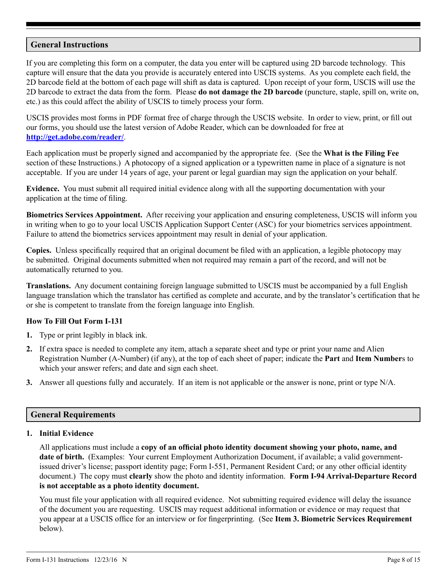## **General Instructions**

If you are completing this form on a computer, the data you enter will be captured using 2D barcode technology. This capture will ensure that the data you provide is accurately entered into USCIS systems. As you complete each field, the 2D barcode field at the bottom of each page will shift as data is captured. Upon receipt of your form, USCIS will use the 2D barcode to extract the data from the form. Please **do not damage the 2D barcode** (puncture, staple, spill on, write on, etc.) as this could affect the ability of USCIS to timely process your form.

USCIS provides most forms in PDF format free of charge through the USCIS website. In order to view, print, or fill out our forms, you should use the latest version of Adobe Reader, which can be downloaded for free at **<http://get.adobe.com/reader/>**.

Each application must be properly signed and accompanied by the appropriate fee. (See the **What is the Filing Fee** section of these Instructions.) A photocopy of a signed application or a typewritten name in place of a signature is not acceptable. If you are under 14 years of age, your parent or legal guardian may sign the application on your behalf.

**Evidence.** You must submit all required initial evidence along with all the supporting documentation with your application at the time of filing.

**Biometrics Services Appointment.** After receiving your application and ensuring completeness, USCIS will inform you in writing when to go to your local USCIS Application Support Center (ASC) for your biometrics services appointment. Failure to attend the biometrics services appointment may result in denial of your application.

**Copies.** Unless specifically required that an original document be filed with an application, a legible photocopy may be submitted. Original documents submitted when not required may remain a part of the record, and will not be automatically returned to you.

**Translations.** Any document containing foreign language submitted to USCIS must be accompanied by a full English language translation which the translator has certified as complete and accurate, and by the translator's certification that he or she is competent to translate from the foreign language into English.

#### **How To Fill Out Form I-131**

- **1.** Type or print legibly in black ink.
- **2.** If extra space is needed to complete any item, attach a separate sheet and type or print your name and Alien Registration Number (A-Number) (if any), at the top of each sheet of paper; indicate the **Part** and **Item Number**s to which your answer refers; and date and sign each sheet.
- **3.** Answer all questions fully and accurately. If an item is not applicable or the answer is none, print or type N/A.

#### **General Requirements**

### **1. Initial Evidence**

All applications must include a **copy of an official photo identity document showing your photo, name, and date of birth.** (Examples: Your current Employment Authorization Document, if available; a valid governmentissued driver's license; passport identity page; Form I-551, Permanent Resident Card; or any other official identity document.) The copy must **clearly** show the photo and identity information. **Form I-94 Arrival-Departure Record is not acceptable as a photo identity document.**

You must file your application with all required evidence. Not submitting required evidence will delay the issuance of the document you are requesting. USCIS may request additional information or evidence or may request that you appear at a USCIS office for an interview or for fingerprinting. (See **Item 3. Biometric Services Requirement**  below).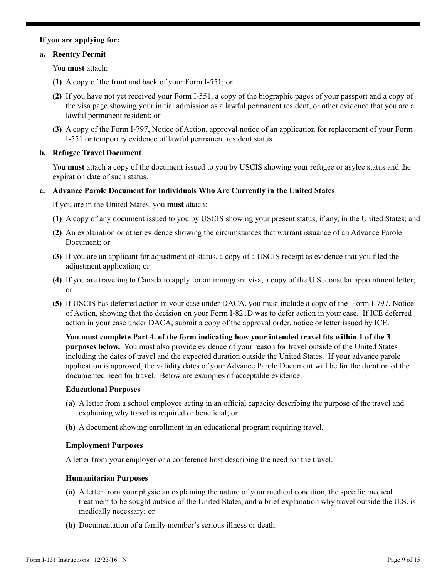### **If you are applying for:**

#### **a. Reentry Permit**

You **must** attach:

- **(1)** A copy of the front and back of your Form I-551; or
- **(2)** If you have not yet received your Form I-551, a copy of the biographic pages of your passport and a copy of the visa page showing your initial admission as a lawful permanent resident, or other evidence that you are a lawful permanent resident; or
- **(3)** A copy of the Form I-797, Notice of Action, approval notice of an application for replacement of your Form I-551 or temporary evidence of lawful permanent resident status.

### **b. Refugee Travel Document**

You **must** attach a copy of the document issued to you by USCIS showing your refugee or asylee status and the expiration date of such status.

#### **c. Advance Parole Document for Individuals Who Are Currently in the United States**

If you are in the United States, you **must** attach:

- **(1)** A copy of any document issued to you by USCIS showing your present status, if any, in the United States; and
- **(2)** An explanation or other evidence showing the circumstances that warrant issuance of an Advance Parole Document; or
- **(3)** If you are an applicant for adjustment of status, a copy of a USCIS receipt as evidence that you filed the adjustment application; or
- **(4)** If you are traveling to Canada to apply for an immigrant visa, a copy of the U.S. consular appointment letter; or
- **(5)** If USCIS has deferred action in your case under DACA, you must include a copy of the Form I-797, Notice of Action, showing that the decision on your Form I-821D was to defer action in your case. If ICE deferred action in your case under DACA, submit a copy of the approval order, notice or letter issued by ICE.

**You must complete Part 4. of the form indicating how your intended travel fits within 1 of the 3 purposes below.** You must also provide evidence of your reason for travel outside of the United States including the dates of travel and the expected duration outside the United States. If your advance parole application is approved, the validity dates of your Advance Parole Document will be for the duration of the documented need for travel. Below are examples of acceptable evidence:

#### **Educational Purposes**

- **(a)** A letter from a school employee acting in an official capacity describing the purpose of the travel and explaining why travel is required or beneficial; or
- **(b)** A document showing enrollment in an educational program requiring travel.

#### **Employment Purposes**

A letter from your employer or a conference host describing the need for the travel.

#### **Humanitarian Purposes**

- **(a)** A letter from your physician explaining the nature of your medical condition, the specific medical treatment to be sought outside of the United States, and a brief explanation why travel outside the U.S. is medically necessary; or
- **(b)** Documentation of a family member's serious illness or death.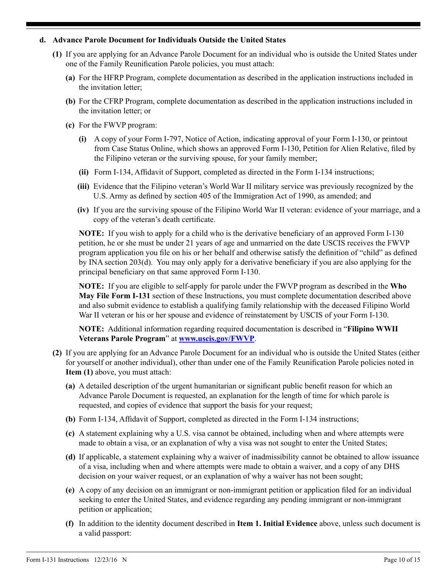#### **d. Advance Parole Document for Individuals Outside the United States**

- **(1)** If you are applying for an Advance Parole Document for an individual who is outside the United States under one of the Family Reunification Parole policies, you must attach:
	- **(a)** For the HFRP Program, complete documentation as described in the application instructions included in the invitation letter;
	- **(b)** For the CFRP Program, complete documentation as described in the application instructions included in the invitation letter; or
	- **(c)** For the FWVP program:
		- **(i)** A copy of your Form I-797, Notice of Action, indicating approval of your Form I-130, or printout from Case Status Online, which shows an approved Form I-130, Petition for Alien Relative, filed by the Filipino veteran or the surviving spouse, for your family member;
		- **(ii)** Form I-134, Affidavit of Support, completed as directed in the Form I-134 instructions;
		- **(iii)** Evidence that the Filipino veteran's World War II military service was previously recognized by the U.S. Army as defined by section 405 of the Immigration Act of 1990, as amended; and
		- **(iv)** If you are the surviving spouse of the Filipino World War II veteran: evidence of your marriage, and a copy of the veteran's death certificate.

**NOTE:** If you wish to apply for a child who is the derivative beneficiary of an approved Form I-130 petition, he or she must be under 21 years of age and unmarried on the date USCIS receives the FWVP program application you file on his or her behalf and otherwise satisfy the definition of "child" as defined by INA section 203(d). You may only apply for a derivative beneficiary if you are also applying for the principal beneficiary on that same approved Form I-130.

**NOTE:** If you are eligible to self-apply for parole under the FWVP program as described in the **Who May File Form I-131** section of these Instructions, you must complete documentation described above and also submit evidence to establish a qualifying family relationship with the deceased Filipino World War II veteran or his or her spouse and evidence of reinstatement by USCIS of your Form I-130.

**NOTE:** Additional information regarding required documentation is described in "**Filipino WWII Veterans Parole Program**" at **[www.uscis.gov/FWVP](http://www.uscis.gov/FWVP)**.

- **(2)** If you are applying for an Advance Parole Document for an individual who is outside the United States (either for yourself or another individual), other than under one of the Family Reunification Parole policies noted in **Item (1)** above, you must attach:
	- **(a)** A detailed description of the urgent humanitarian or significant public benefit reason for which an Advance Parole Document is requested, an explanation for the length of time for which parole is requested, and copies of evidence that support the basis for your request;
	- **(b)** Form I-134, Affidavit of Support, completed as directed in the Form I-134 instructions;
	- **(c)** A statement explaining why a U.S. visa cannot be obtained, including when and where attempts were made to obtain a visa, or an explanation of why a visa was not sought to enter the United States;
	- **(d)** If applicable, a statement explaining why a waiver of inadmissibility cannot be obtained to allow issuance of a visa, including when and where attempts were made to obtain a waiver, and a copy of any DHS decision on your waiver request, or an explanation of why a waiver has not been sought;
	- **(e)** A copy of any decision on an immigrant or non-immigrant petition or application filed for an individual seeking to enter the United States, and evidence regarding any pending immigrant or non-immigrant petition or application;
	- **(f)** In addition to the identity document described in **Item 1. Initial Evidence** above, unless such document is a valid passport: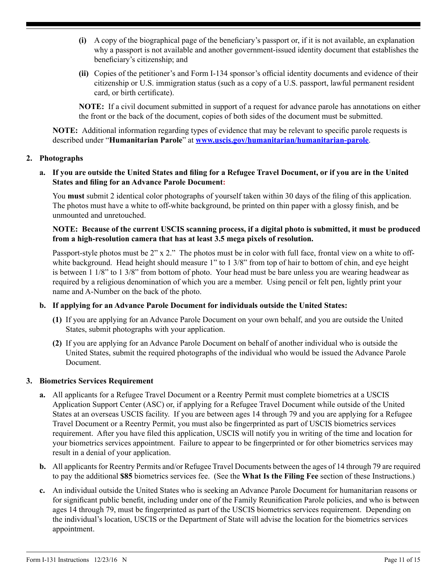- **(i)** A copy of the biographical page of the beneficiary's passport or, if it is not available, an explanation why a passport is not available and another government-issued identity document that establishes the beneficiary's citizenship; and
- **(ii)** Copies of the petitioner's and Form I-134 sponsor's official identity documents and evidence of their citizenship or U.S. immigration status (such as a copy of a U.S. passport, lawful permanent resident card, or birth certificate).

**NOTE:** If a civil document submitted in support of a request for advance parole has annotations on either the front or the back of the document, copies of both sides of the document must be submitted.

**NOTE:** Additional information regarding types of evidence that may be relevant to specific parole requests is described under "**Humanitarian Parole**" at **[www.uscis.gov/humanitarian/humanitarian-parole](http://www.uscis.gov/humanitarian/humanitarian-parole)**.

### **2. Photographs**

### **a. If you are outside the United States and filing for a Refugee Travel Document, or if you are in the United States and filing for an Advance Parole Document:**

You **must** submit 2 identical color photographs of yourself taken within 30 days of the filing of this application. The photos must have a white to off-white background, be printed on thin paper with a glossy finish, and be unmounted and unretouched.

### **NOTE: Because of the current USCIS scanning process, if a digital photo is submitted, it must be produced from a high-resolution camera that has at least 3.5 mega pixels of resolution.**

Passport-style photos must be 2" x 2." The photos must be in color with full face, frontal view on a white to offwhite background. Head height should measure 1" to 1 3/8" from top of hair to bottom of chin, and eye height is between 1 1/8" to 1 3/8" from bottom of photo. Your head must be bare unless you are wearing headwear as required by a religious denomination of which you are a member. Using pencil or felt pen, lightly print your name and A-Number on the back of the photo.

## **b. If applying for an Advance Parole Document for individuals outside the United States:**

- **(1)** If you are applying for an Advance Parole Document on your own behalf, and you are outside the United States, submit photographs with your application.
- **(2)** If you are applying for an Advance Parole Document on behalf of another individual who is outside the United States, submit the required photographs of the individual who would be issued the Advance Parole Document.

## **3. Biometrics Services Requirement**

- **a.** All applicants for a Refugee Travel Document or a Reentry Permit must complete biometrics at a USCIS Application Support Center (ASC) or, if applying for a Refugee Travel Document while outside of the United States at an overseas USCIS facility. If you are between ages 14 through 79 and you are applying for a Refugee Travel Document or a Reentry Permit, you must also be fingerprinted as part of USCIS biometrics services requirement. After you have filed this application, USCIS will notify you in writing of the time and location for your biometrics services appointment. Failure to appear to be fingerprinted or for other biometrics services may result in a denial of your application.
- **b.** All applicants for Reentry Permits and/or Refugee Travel Documents between the ages of 14 through 79 are required to pay the additional **\$85** biometrics services fee. (See the **What Is the Filing Fee** section of these Instructions.)
- **c.** An individual outside the United States who is seeking an Advance Parole Document for humanitarian reasons or for significant public benefit, including under one of the Family Reunification Parole policies, and who is between ages 14 through 79, must be fingerprinted as part of the USCIS biometrics services requirement. Depending on the individual's location, USCIS or the Department of State will advise the location for the biometrics services appointment.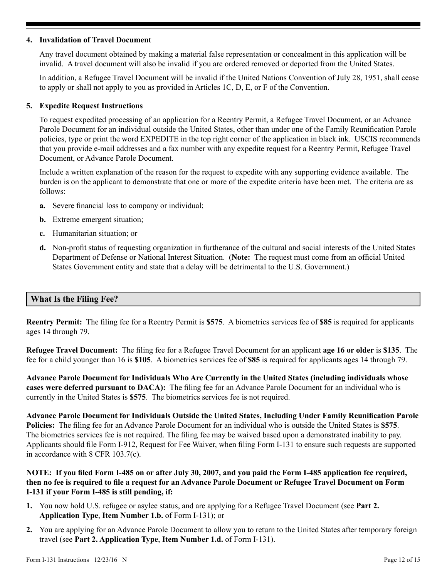### **4. Invalidation of Travel Document**

Any travel document obtained by making a material false representation or concealment in this application will be invalid. A travel document will also be invalid if you are ordered removed or deported from the United States.

In addition, a Refugee Travel Document will be invalid if the United Nations Convention of July 28, 1951, shall cease to apply or shall not apply to you as provided in Articles 1C, D, E, or F of the Convention.

#### **5. Expedite Request Instructions**

To request expedited processing of an application for a Reentry Permit, a Refugee Travel Document, or an Advance Parole Document for an individual outside the United States, other than under one of the Family Reunification Parole policies, type or print the word EXPEDITE in the top right corner of the application in black ink. USCIS recommends that you provide e-mail addresses and a fax number with any expedite request for a Reentry Permit, Refugee Travel Document, or Advance Parole Document.

Include a written explanation of the reason for the request to expedite with any supporting evidence available. The burden is on the applicant to demonstrate that one or more of the expedite criteria have been met. The criteria are as follows:

- **a.** Severe financial loss to company or individual;
- **b.** Extreme emergent situation;
- **c.** Humanitarian situation; or
- **d.** Non-profit status of requesting organization in furtherance of the cultural and social interests of the United States Department of Defense or National Interest Situation. (**Note:** The request must come from an official United States Government entity and state that a delay will be detrimental to the U.S. Government.)

#### **What Is the Filing Fee?**

**Reentry Permit:** The filing fee for a Reentry Permit is **\$575**. A biometrics services fee of **\$85** is required for applicants ages 14 through 79.

**Refugee Travel Document:** The filing fee for a Refugee Travel Document for an applicant **age 16 or older** is **\$135**. The fee for a child younger than 16 is **\$105**. A biometrics services fee of **\$85** is required for applicants ages 14 through 79.

**Advance Parole Document for Individuals Who Are Currently in the United States (including individuals whose cases were deferred pursuant to DACA):** The filing fee for an Advance Parole Document for an individual who is currently in the United States is **\$575**. The biometrics services fee is not required.

**Advance Parole Document for Individuals Outside the United States, Including Under Family Reunification Parole Policies:** The filing fee for an Advance Parole Document for an individual who is outside the United States is **\$575**. The biometrics services fee is not required. The filing fee may be waived based upon a demonstrated inability to pay. Applicants should file Form I-912, Request for Fee Waiver, when filing Form I-131 to ensure such requests are supported in accordance with 8 CFR 103.7(c).

## **NOTE: If you filed Form I-485 on or after July 30, 2007, and you paid the Form I-485 application fee required, then no fee is required to file a request for an Advance Parole Document or Refugee Travel Document on Form I-131 if your Form I-485 is still pending, if:**

- **1.** You now hold U.S. refugee or asylee status, and are applying for a Refugee Travel Document (see **Part 2. Application Type**, **Item Number 1.b.** of Form I-131); or
- **2.** You are applying for an Advance Parole Document to allow you to return to the United States after temporary foreign travel (see **Part 2. Application Type**, **Item Number 1.d.** of Form I-131).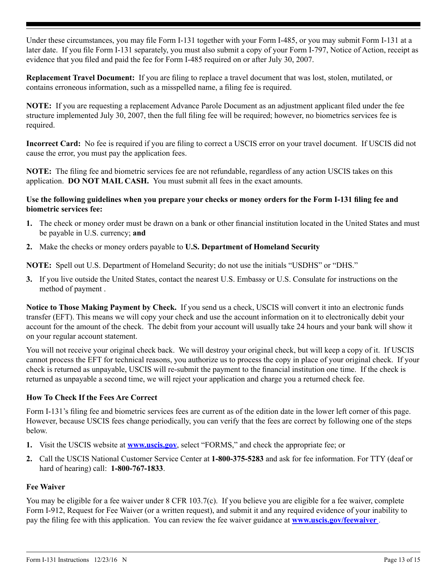Under these circumstances, you may file Form I-131 together with your Form I-485, or you may submit Form I-131 at a later date. If you file Form I-131 separately, you must also submit a copy of your Form I-797, Notice of Action, receipt as evidence that you filed and paid the fee for Form I-485 required on or after July 30, 2007.

**Replacement Travel Document:** If you are filing to replace a travel document that was lost, stolen, mutilated, or contains erroneous information, such as a misspelled name, a filing fee is required.

**NOTE:** If you are requesting a replacement Advance Parole Document as an adjustment applicant filed under the fee structure implemented July 30, 2007, then the full filing fee will be required; however, no biometrics services fee is required.

**Incorrect Card:** No fee is required if you are filing to correct a USCIS error on your travel document. If USCIS did not cause the error, you must pay the application fees.

**NOTE:** The filing fee and biometric services fee are not refundable, regardless of any action USCIS takes on this application. **DO NOT MAIL CASH.** You must submit all fees in the exact amounts.

### **Use the following guidelines when you prepare your checks or money orders for the Form I-131 filing fee and biometric services fee:**

- **1.** The check or money order must be drawn on a bank or other financial institution located in the United States and must be payable in U.S. currency; **and**
- **2.** Make the checks or money orders payable to **U.S. Department of Homeland Security**

**NOTE:** Spell out U.S. Department of Homeland Security; do not use the initials "USDHS" or "DHS."

**3.** If you live outside the United States, contact the nearest U.S. Embassy or U.S. Consulate for instructions on the method of payment .

**Notice to Those Making Payment by Check.** If you send us a check, USCIS will convert it into an electronic funds transfer (EFT). This means we will copy your check and use the account information on it to electronically debit your account for the amount of the check. The debit from your account will usually take 24 hours and your bank will show it on your regular account statement.

You will not receive your original check back. We will destroy your original check, but will keep a copy of it. If USCIS cannot process the EFT for technical reasons, you authorize us to process the copy in place of your original check. If your check is returned as unpayable, USCIS will re-submit the payment to the financial institution one time. If the check is returned as unpayable a second time, we will reject your application and charge you a returned check fee.

## **How To Check If the Fees Are Correct**

Form I-131's filing fee and biometric services fees are current as of the edition date in the lower left corner of this page. However, because USCIS fees change periodically, you can verify that the fees are correct by following one of the steps below.

- **1.** Visit the USCIS website at **[www.uscis.gov](http://www.uscis.gov)**, select "FORMS," and check the appropriate fee; or
- **2.** Call the USCIS National Customer Service Center at **1-800-375-5283** and ask for fee information. For TTY (deaf or hard of hearing) call: **1-800-767-1833**.

## **Fee Waiver**

You may be eligible for a fee waiver under 8 CFR 103.7(c). If you believe you are eligible for a fee waiver, complete Form I-912, Request for Fee Waiver (or a written request), and submit it and any required evidence of your inability to pay the filing fee with this application. You can review the fee waiver guidance at **[www.uscis.gov/feewaiver](http://www.uscis.gov/feewaiver)** .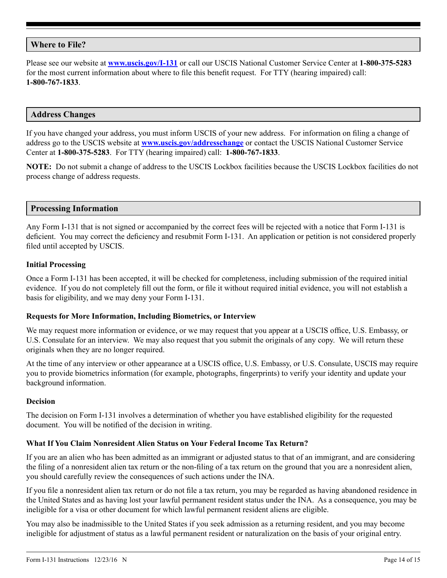## **Where to File?**

Please see our website at **[www.uscis.gov/I-131](http://www.uscis.gov/I-131)** or call our USCIS National Customer Service Center at **1-800-375-5283** for the most current information about where to file this benefit request. For TTY (hearing impaired) call: **1-800-767-1833**.

### **Address Changes**

If you have changed your address, you must inform USCIS of your new address. For information on filing a change of address go to the USCIS website at **[www.uscis.gov/addresschange](http://www.uscis.gov/addresschange)** or contact the USCIS National Customer Service Center at **1-800-375-5283**. For TTY (hearing impaired) call: **1-800-767-1833**.

**NOTE:** Do not submit a change of address to the USCIS Lockbox facilities because the USCIS Lockbox facilities do not process change of address requests.

#### **Processing Information**

Any Form I-131 that is not signed or accompanied by the correct fees will be rejected with a notice that Form I-131 is deficient. You may correct the deficiency and resubmit Form I-131. An application or petition is not considered properly filed until accepted by USCIS.

#### **Initial Processing**

Once a Form I-131 has been accepted, it will be checked for completeness, including submission of the required initial evidence. If you do not completely fill out the form, or file it without required initial evidence, you will not establish a basis for eligibility, and we may deny your Form I-131.

#### **Requests for More Information, Including Biometrics, or Interview**

We may request more information or evidence, or we may request that you appear at a USCIS office, U.S. Embassy, or U.S. Consulate for an interview. We may also request that you submit the originals of any copy. We will return these originals when they are no longer required.

At the time of any interview or other appearance at a USCIS office, U.S. Embassy, or U.S. Consulate, USCIS may require you to provide biometrics information (for example, photographs, fingerprints) to verify your identity and update your background information.

### **Decision**

The decision on Form I-131 involves a determination of whether you have established eligibility for the requested document. You will be notified of the decision in writing.

#### **What If You Claim Nonresident Alien Status on Your Federal Income Tax Return?**

If you are an alien who has been admitted as an immigrant or adjusted status to that of an immigrant, and are considering the filing of a nonresident alien tax return or the non-filing of a tax return on the ground that you are a nonresident alien, you should carefully review the consequences of such actions under the INA.

If you file a nonresident alien tax return or do not file a tax return, you may be regarded as having abandoned residence in the United States and as having lost your lawful permanent resident status under the INA. As a consequence, you may be ineligible for a visa or other document for which lawful permanent resident aliens are eligible.

You may also be inadmissible to the United States if you seek admission as a returning resident, and you may become ineligible for adjustment of status as a lawful permanent resident or naturalization on the basis of your original entry.